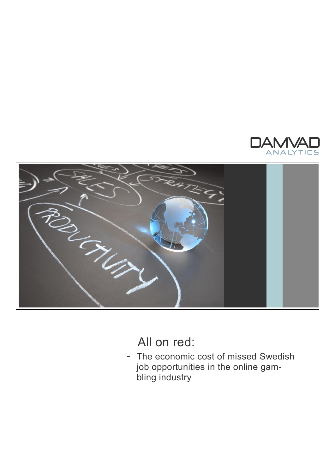



All on red:

- The economic cost of missed Swedish job opportunities in the online gambling industry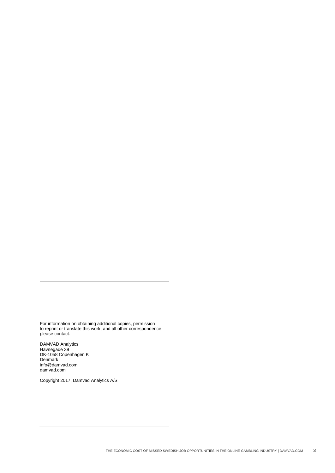For information on obtaining additional copies, permission to reprint or translate this work, and all other correspondence, please contact:

DAMVAD Analytics Havnegade 39 DK-1058 Copenhagen K **Denmark** info@damvad.com damvad.com

Copyright 2017, Damvad Analytics A/S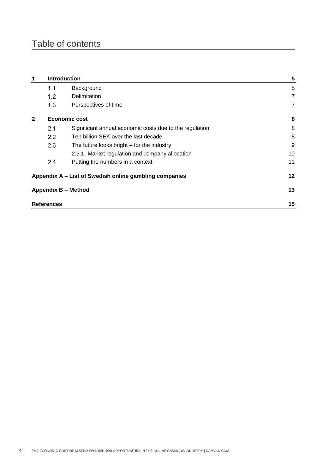# Table of contents

|                                                        | <b>Introduction</b> |                                                         | 5              |
|--------------------------------------------------------|---------------------|---------------------------------------------------------|----------------|
|                                                        | 1.1                 | Background                                              | 5              |
|                                                        | 1.2                 | Delimitation                                            | $\overline{7}$ |
|                                                        | 1.3                 | Perspectives of time                                    | $\overline{7}$ |
| $\mathbf{2}$                                           | Economic cost       |                                                         | 8              |
|                                                        | 2.1                 | Significant annual economic costs due to the regulation | 8              |
|                                                        | 2.2                 | Ten billion SEK over the last decade                    | 8              |
|                                                        | 2.3                 | The future looks bright $-$ for the industry            | 9              |
|                                                        |                     | 2.3.1 Market regulation and company allocation          | 10             |
|                                                        | 2.4                 | Putting the numbers in a context                        | 11             |
| Appendix A - List of Swedish online gambling companies |                     |                                                         | 12             |
| <b>Appendix B - Method</b>                             |                     |                                                         | 13             |
| <b>References</b>                                      |                     |                                                         | 15             |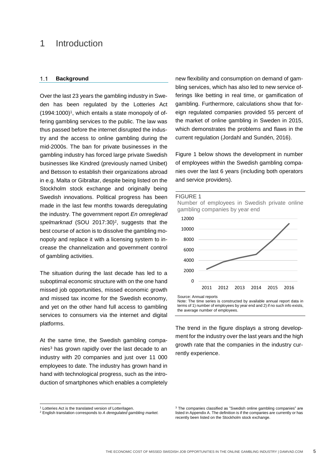## 1 Introduction

#### $1.1$ **Background**

Over the last 23 years the gambling industry in Sweden has been regulated by the Lotteries Act  $(1994:1000)^1$ , which entails a state monopoly of offering gambling services to the public. The law was thus passed before the internet disrupted the industry and the access to online gambling during the mid-2000s. The ban for private businesses in the gambling industry has forced large private Swedish businesses like Kindred (previously named Unibet) and Betsson to establish their organizations abroad in e.g. Malta or Gibraltar, despite being listed on the Stockholm stock exchange and originally being Swedish innovations. Political progress has been made in the last few months towards deregulating the industry. The government report *En omreglerad*  spelmarknad (SOU 2017:30)<sup>2</sup>, suggests that the best course of action is to dissolve the gambling monopoly and replace it with a licensing system to increase the channelization and government control of gambling activities.

The situation during the last decade has led to a suboptimal economic structure with on the one hand missed job opportunities, missed economic growth and missed tax income for the Swedish economy, and yet on the other hand full access to gambling services to consumers via the internet and digital platforms.

At the same time, the Swedish gambling companies<sup>3</sup> has grown rapidly over the last decade to an industry with 20 companies and just over 11 000 employees to date. The industry has grown hand in hand with technological progress, such as the introduction of smartphones which enables a completely new flexibility and consumption on demand of gambling services, which has also led to new service offerings like betting in real time, or gamification of gambling. Furthermore, calculations show that foreign regulated companies provided 55 percent of the market of online gambling in Sweden in 2015, which demonstrates the problems and flaws in the current regulation (Jordahl and Sundén, 2016).

Figure 1 below shows the development in number of employees within the Swedish gambling companies over the last 6 years (including both operators and service providers).

#### FIGURE 1

Number of employees in Swedish private online gambling companies by year end



Note: The time series is constructed by available annual report data in terms of 1) number of employees by year end and 2) if no such info exists, the average number of employees.

The trend in the figure displays a strong development for the industry over the last years and the high growth rate that the companies in the industry currently experience.

l

<sup>1</sup> Lotteries Act is the translated version of Lotterilagen.

<sup>2</sup> English translation corresponds to *A deregulated gambling market.*

<sup>&</sup>lt;sup>3</sup> The companies classified as "Swedish online gambling companies" are listed in Appendix A. The definition is if the companies are currently or has recently been listed on the Stockholm stock exchange.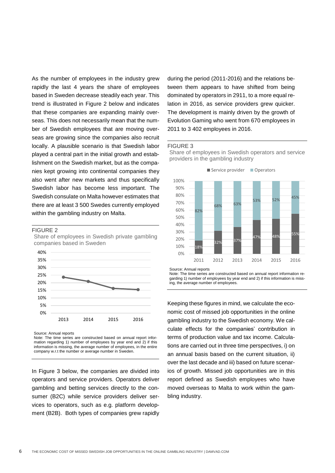As the number of employees in the industry grew rapidly the last 4 years the share of employees based in Sweden decrease steadily each year. This trend is illustrated in [Figure 2](#page-5-0) below and indicates that these companies are expanding mainly overseas. This does not necessarily mean that the number of Swedish employees that are moving overseas are growing since the companies also recruit locally. A plausible scenario is that Swedish labor played a central part in the initial growth and establishment on the Swedish market, but as the companies kept growing into continental companies they also went after new markets and thus specifically Swedish labor has become less important. The Swedish consulate on Malta however estimates that there are at least 3 500 Swedes currently employed within the gambling industry on Malta.

#### <span id="page-5-0"></span>FIGURE 2

Share of employees in Swedish private gambling companies based in Sweden



Source: Annual reports

Note: The time series are constructed based on annual report information regarding 1) number of employees by year end and 2) if this information is missing, the average number of employees, in the entire company w.r.t the number or average number in Sweden.

In [Figure 3](#page-5-1) below, the companies are divided into operators and service providers. Operators deliver gambling and betting services directly to the consumer (B2C) while service providers deliver services to operators, such as e.g. platform development (B2B). Both types of companies grew rapidly

during the period (2011-2016) and the relations between them appears to have shifted from being dominated by operators in 2911, to a more equal relation in 2016, as service providers grew quicker. The development is mainly driven by the growth of Evolution Gaming who went from 670 employees in 2011 to 3 402 employees in 2016.

#### <span id="page-5-1"></span>FIGURE 3

Share of employees in Swedish operators and service providers in the gambling industry



Source: Annual reports

Note: The time series are constructed based on annual report information regarding 1) number of employees by year end and 2) if this information is missing, the average number of employees.

Keeping these figures in mind, we calculate the economic cost of missed job opportunities in the online gambling industry to the Swedish economy. We calculate effects for the companies' contribution in terms of production value and tax income. Calculations are carried out in three time perspectives, i) on an annual basis based on the current situation, ii) over the last decade and iii) based on future scenarios of growth. Missed job opportunities are in this report defined as Swedish employees who have moved overseas to Malta to work within the gambling industry.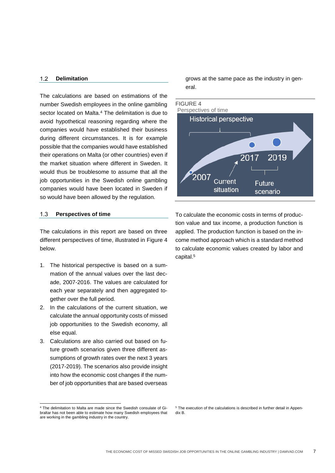#### $1.2$ **Delimitation**

The calculations are based on estimations of the number Swedish employees in the online gambling sector located on Malta. <sup>4</sup> The delimitation is due to avoid hypothetical reasoning regarding where the companies would have established their business during different circumstances. It is for example possible that the companies would have established their operations on Malta (or other countries) even if the market situation where different in Sweden. It would thus be troublesome to assume that all the job opportunities in the Swedish online gambling companies would have been located in Sweden if so would have been allowed by the regulation.

#### $1.3$ **Perspectives of time**

The calculations in this report are based on three different perspectives of time, illustrated in [Figure 4](#page-6-0) below.

- 1. The historical perspective is based on a summation of the annual values over the last decade, 2007-2016. The values are calculated for each year separately and then aggregated together over the full period.
- 2. In the calculations of the current situation, we calculate the annual opportunity costs of missed job opportunities to the Swedish economy, all else equal.
- 3. Calculations are also carried out based on future growth scenarios given three different assumptions of growth rates over the next 3 years (2017-2019). The scenarios also provide insight into how the economic cost changes if the number of job opportunities that are based overseas

grows at the same pace as the industry in general.

<span id="page-6-0"></span>

To calculate the economic costs in terms of production value and tax income, a production function is applied. The production function is based on the income method approach which is a standard method to calculate economic values created by labor and capital.<sup>5</sup>

l

<sup>&</sup>lt;sup>4</sup> The delimitation to Malta are made since the Swedish consulate of Gibraltar has not been able to estimate how many Swedish employees that are working in the gambling industry in the country.

<sup>&</sup>lt;sup>5</sup> The execution of the calculations is described in further detail in Appendix B.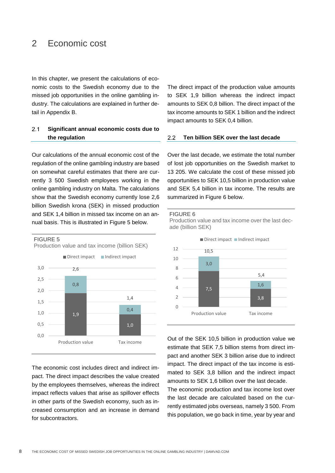## 2 Economic cost

In this chapter, we present the calculations of economic costs to the Swedish economy due to the missed job opportunities in the online gambling industry. The calculations are explained in further detail in Appendix B.

#### $2.1$ **Significant annual economic costs due to the regulation**

Our calculations of the annual economic cost of the regulation of the online gambling industry are based on somewhat careful estimates that there are currently 3 500 Swedish employees working in the online gambling industry on Malta. The calculations show that the Swedish economy currently lose 2,6 billion Swedish krona (SEK) in missed production and SEK 1,4 billion in missed tax income on an annual basis. This is illustrated in [Figure 5](#page-7-0) below.

#### <span id="page-7-0"></span>FIGURE 5



The economic cost includes direct and indirect impact. The direct impact describes the value created by the employees themselves, whereas the indirect impact reflects values that arise as spillover effects in other parts of the Swedish economy, such as increased consumption and an increase in demand for subcontractors.

The direct impact of the production value amounts to SEK 1,9 billion whereas the indirect impact amounts to SEK 0,8 billion. The direct impact of the tax income amounts to SEK 1 billion and the indirect impact amounts to SEK 0,4 billion.

#### $2.2$ **Ten billion SEK over the last decade**

Over the last decade, we estimate the total number of lost job opportunities on the Swedish market to 13 205. We calculate the cost of these missed job opportunities to SEK 10,5 billion in production value and SEK 5,4 billion in tax income. The results are summarized in [Figure 6](#page-7-1) below.

<span id="page-7-1"></span>

Production value and tax income over the last decade (billion SEK)



Out of the SEK 10,5 billion in production value we estimate that SEK 7,5 billion stems from direct impact and another SEK 3 billion arise due to indirect impact. The direct impact of the tax income is estimated to SEK 3,8 billion and the indirect impact amounts to SEK 1,6 billion over the last decade. The economic production and tax income lost over

the last decade are calculated based on the currently estimated jobs overseas, namely 3 500. From this population, we go back in time, year by year and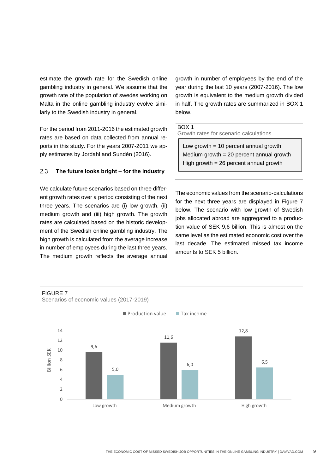estimate the growth rate for the Swedish online gambling industry in general. We assume that the growth rate of the population of swedes working on Malta in the online gambling industry evolve similarly to the Swedish industry in general.

For the period from 2011-2016 the estimated growth rates are based on data collected from annual reports in this study. For the years 2007-2011 we apply estimates by Jordahl and Sundén (2016).

#### **The future looks bright – for the industry**  $2.3$

We calculate future scenarios based on three different growth rates over a period consisting of the next three years. The scenarios are (i) low growth, (ii) medium growth and (iii) high growth. The growth rates are calculated based on the historic development of the Swedish online gambling industry. The high growth is calculated from the average increase in number of employees during the last three years. The medium growth reflects the average annual

growth in number of employees by the end of the year during the last 10 years (2007-2016). The low growth is equivalent to the medium growth divided in half. The growth rates are summarized in [BOX 1](#page-8-0) below.

### <span id="page-8-0"></span>BOX 1

Growth rates for scenario calculations

Low growth  $= 10$  percent annual growth Medium growth = 20 percent annual growth High growth = 26 percent annual growth

The economic values from the scenario-calculations for the next three years are displayed in [Figure 7](#page-8-1) below. The scenario with low growth of Swedish jobs allocated abroad are aggregated to a production value of SEK 9,6 billion. This is almost on the same level as the estimated economic cost over the last decade. The estimated missed tax income amounts to SEK 5 billion.

<span id="page-8-1"></span>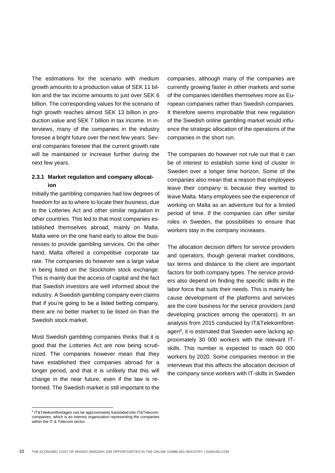The estimations for the scenario with medium growth amounts to a production value of SEK 11 billion and the tax income amounts to just over SEK 6 billion. The corresponding values for the scenario of high growth reaches almost SEK 13 billion in production value and SEK 7 billion in tax income. In interviews, many of the companies in the industry foresee a bright future over the next few years. Several companies foresee that the current growth rate will be maintained or increase further during the next few years.

## **2.3.1 Market regulation and company allocation**

Initially the gambling companies had low degrees of freedom for as to where to locate their business, due to the Lotteries Act and other similar regulation in other countries. This led to that most companies established themselves abroad, mainly on Malta. Malta were on the one hand early to allow the businesses to provide gambling services. On the other hand, Malta offered a competitive corporate tax rate. The companies do however see a large value in being listed on the Stockholm stock exchange. This is mainly due the access of capital and the fact that Swedish investors are well informed about the industry. A Swedish gambling company even claims that if you're going to be a listed betting company, there are no better market to be listed on than the Swedish stock market.

Most Swedish gambling companies thinks that it is good that the Lotteries Act are now being scrutinized. The companies however mean that they have established their companies abroad for a longer period, and that it is unlikely that this will change in the near future, even if the law is reformed. The Swedish market is still important to the

companies, although many of the companies are currently growing faster in other markets and some of the companies identifies themselves more as European companies rather than Swedish companies. It therefore seems improbable that new regulation of the Swedish online gambling market would influence the strategic allocation of the operations of the companies in the short run.

The companies do however not rule out that it can be of interest to establish some kind of cluster in Sweden over a longer time horizon. Some of the companies also mean that a reason that employees leave their company is because they wanted to leave Malta. Many employees see the experience of working on Malta as an adventure but for a limited period of time. If the companies can offer similar roles in Sweden, the possibilities to ensure that workers stay in the company increases.

The allocation decision differs for service providers and operators, though general market conditions, tax terms and distance to the client are important factors for both company types. The service providers also depend on finding the specific skills in the labor force that suits their needs. This is mainly because development of the platforms and services are the core business for the service providers (and developing practices among the operators). In an analysis from 2015 conducted by IT&Telekomföretagen<sup>6</sup>, it is estimated that Sweden were lacking approximately 30 000 workers with the relevant ITskills. This number is expected to reach 60 000 workers by 2020. Some companies mention in the interviews that this affects the allocation decision of the company since workers with IT-skills in Sweden

-

<sup>6</sup> IT&Telekomföretagen can be approximately translated into IT&Telecomcompanies, which is an interest organization representing the companies within the IT & Telecom sector.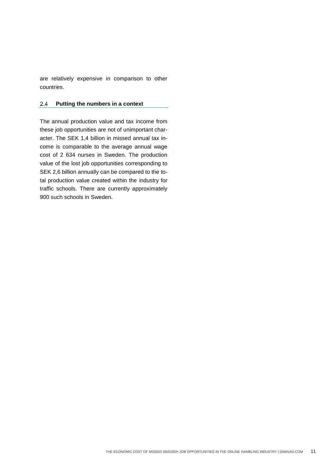are relatively expensive in comparison to other countries.

#### 2.4 **Putting the numbers in a context**

The annual production value and tax income from these job opportunities are not of unimportant character. The SEK 1,4 billion in missed annual tax income is comparable to the average annual wage cost of 2 634 nurses in Sweden. The production value of the lost job opportunities corresponding to SEK 2,6 billion annually can be compared to the total production value created within the industry for traffic schools. There are currently approximately 900 such schools in Sweden.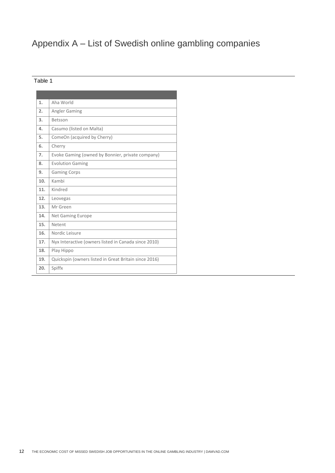# Appendix A – List of Swedish online gambling companies

## Table 1

| 1.  | Aha World                                             |
|-----|-------------------------------------------------------|
| 2.  | Angler Gaming                                         |
| 3.  | Betsson                                               |
| 4.  | Casumo (listed on Malta)                              |
| 5.  | ComeOn (acquired by Cherry)                           |
| 6.  | Cherry                                                |
| 7.  | Evoke Gaming (owned by Bonnier, private company)      |
| 8.  | <b>Evolution Gaming</b>                               |
| 9.  | <b>Gaming Corps</b>                                   |
| 10. | Kambi                                                 |
| 11. | Kindred                                               |
| 12. | Leovegas                                              |
| 13. | Mr Green                                              |
| 14. | Net Gaming Europe                                     |
| 15. | Netent                                                |
| 16. | Nordic Leisure                                        |
| 17. | Nyx Interactive (owners listed in Canada since 2010)  |
| 18. | Play Hippo                                            |
| 19. | Quickspin (owners listed in Great Britain since 2016) |
| 20. | Spiffx                                                |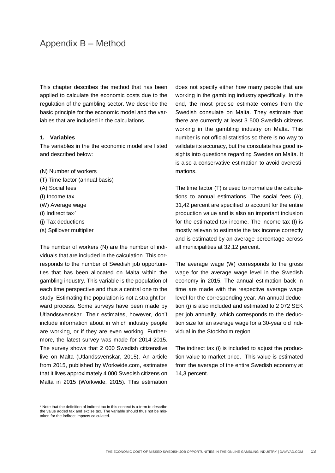# Appendix B – Method

This chapter describes the method that has been applied to calculate the economic costs due to the regulation of the gambling sector. We describe the basic principle for the economic model and the variables that are included in the calculations.

### **1. Variables**

The variables in the the economic model are listed and described below:

- (N) Number of workers
- (T) Time factor (annual basis)
- (A) Social fees
- (I) Income tax
- (W) Average wage
- (i) Indirect tax<sup>7</sup>

l

- (j) Tax deductions
- (s) Spillover multiplier

The number of workers (N) are the number of individuals that are included in the calculation. This corresponds to the number of Swedish job opportunities that has been allocated on Malta within the gambling industry. This variable is the population of each time perspective and thus a central one to the study. Estimating the population is not a straight forward process. Some surveys have been made by Utlandssvenskar. Their estimates, however, don't include information about in which industry people are working, or if they are even working. Furthermore, the latest survey was made for 2014-2015. The survey shows that 2 000 Swedish citizenslive live on Malta (Utlandssvenskar, 2015). An article from 2015, published by Workwide.com, estimates that it lives approximately 4 000 Swedish citizens on Malta in 2015 (Workwide, 2015). This estimation

does not specify either how many people that are working in the gambling industry specifically. In the end, the most precise estimate comes from the Swedish consulate on Malta. They estimate that there are currently at least 3 500 Swedish citizens working in the gambling industry on Malta. This number is not official statistics so there is no way to validate its accuracy, but the consulate has good insights into questions regarding Swedes on Malta. It is also a conservative estimation to avoid overestimations.

The time factor (T) is used to normalize the calculations to annual estimations. The social fees (A), 31,42 percent are specified to account for the entire production value and is also an important inclusion for the estimated tax income. The income tax (I) is mostly relevan to estimate the tax income correctly and is estimated by an average percentage across all municipalities at 32,12 percent.

The average wage (W) corresponds to the gross wage for the average wage level in the Swedish economy in 2015. The annual estimation back in time are made with the respective average wage level for the corresponding year. An annual deduction (i) is also included and estimated to 2 072 SEK per job annually, which corresponds to the deduction size for an average wage for a 30-year old individual in the Stockholm region.

The indirect tax (i) is included to adjust the production value to market price. This value is estimated from the average of the entire Swedish economy at 14,3 percent.

 $7$  Note that the definition of indirect tax in this context is a term to describe the value added tax and excise tax. The variable should thus not be mistaken for the indirect impacts calculated.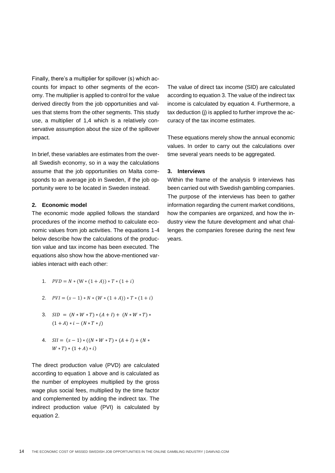Finally, there's a multiplier for spillover (s) which accounts for impact to other segments of the economy. The multiplier is applied to control for the value derived directly from the job opportunities and values that stems from the other segments. This study use, a multiplier of 1,4 which is a relatively conservative assumption about the size of the spillover impact.

In brief, these variables are estimates from the overall Swedish economy, so in a way the calculations assume that the job opportunities on Malta corresponds to an average job in Sweden, if the job opportunity were to be located in Sweden instead.

#### **2. Economic model**

The economic mode applied follows the standard procedures of the income method to calculate economic values from job activities. The equations 1-4 below describe how the calculations of the production value and tax income has been executed. The equations also show how the above-mentioned variables interact with each other:

- 1.  $PVD = N * (W * (1 + A)) * T * (1 + i)$
- 2.  $PVI = (s 1) * N * (W * (1 + A)) * T * (1 + i)$
- 3.  $SID = (N * W * T) * (A + I) + (N * W * T) *$  $(1 + A) * i - (N * T * i)$
- 4.  $SII = (s 1) * ((N * W * T) * (A + I) + (N *$  $W * T$  +  $(1 + A) * i$

The direct production value (PVD) are calculated according to equation 1 above and is calculated as the number of employees multiplied by the gross wage plus social fees, multiplied by the time factor and complemented by adding the indirect tax. The indirect production value (PVI) is calculated by equation 2.

The value of direct tax income (SID) are calculated according to equation 3. The value of the indirect tax income is calculated by equation 4. Furthermore, a tax deduction (j) is applied to further improve the accuracy of the tax income estimates.

These equations merely show the annual economic values. In order to carry out the calculations over time several years needs to be aggregated.

#### **3. Interviews**

Within the frame of the analysis 9 interviews has been carried out with Swedish gambling companies. The purpose of the interviews has been to gather information regarding the current market conditions, how the companies are organized, and how the industry view the future development and what challenges the companies foresee during the next few years.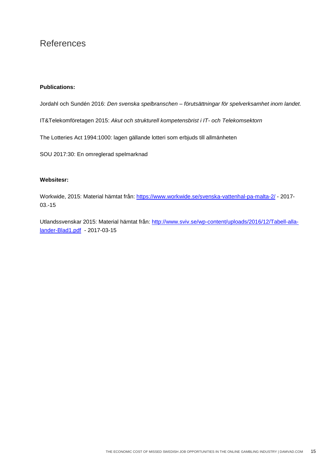# References

## **Publications:**

Jordahl och Sundén 2016: *Den svenska spelbranschen – förutsättningar för spelverksamhet inom landet.*

IT&Telekomföretagen 2015: *Akut och strukturell kompetensbrist i IT- och Telekomsektorn*

The Lotteries Act 1994:1000: lagen gällande lotteri som erbjuds till allmänheten

SOU 2017:30: En omreglerad spelmarknad

## **Websitesr:**

Workwide, 2015: Material hämtat från:<https://www.workwide.se/svenska-vattenhal-pa-malta-2/> - 2017- 03.-15

Utlandssvenskar 2015: Material hämtat från: [http://www.sviv.se/wp-content/uploads/2016/12/Tabell-alla](http://www.sviv.se/wp-content/uploads/2016/12/Tabell-alla-lander-Blad1.pdf)[lander-Blad1.pdf](http://www.sviv.se/wp-content/uploads/2016/12/Tabell-alla-lander-Blad1.pdf) - 2017-03-15